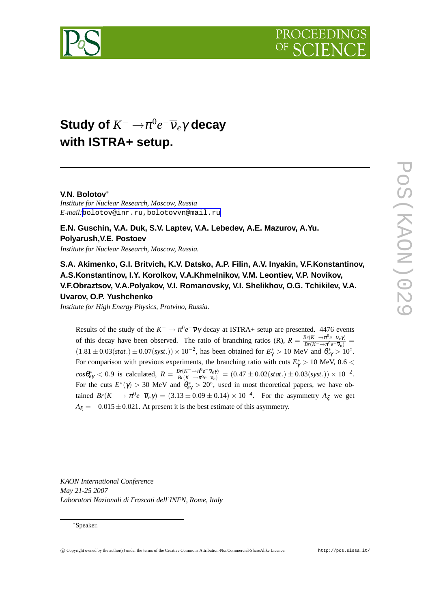

# ${\bf Study~of}~K^{-}\rightarrow$   $\pi^{0}e^{-}\overline{\nu}_{e}\gamma$  decay **with ISTRA+ setup.**

# **V.N. Bolotov**∗

*Institute for Nuclear Research, Moscow, Russia E-mail:*[bolotov@inr.ru,bolotovvn@mail.ru](mailto:bolotov@inr.ru,bolotovvn@mail.ru)

# **E.N. Guschin, V.A. Duk, S.V. Laptev, V.A. Lebedev, A.E. Mazurov, A.Yu.**

**Polyarush,V.E. Postoev**

*Institute for Nuclear Research, Moscow, Russia.*

**S.A. Akimenko, G.I. Britvich, K.V. Datsko, A.P. Filin, A.V. Inyakin, V.F.Konstantinov, A.S.Konstantinov, I.Y. Korolkov, V.A.Khmelnikov, V.M. Leontiev, V.P. Novikov, V.F.Obraztsov, V.A.Polyakov, V.I. Romanovsky, V.I. Shelikhov, O.G. Tchikilev, V.A. Uvarov, O.P. Yushchenko**

*Institute for High Energy Physics, Protvino, Russia.*

Results of the study of the  $K^- \to \pi^0 e^- \overline{\nu} \gamma$  decay at ISTRA+ setup are presented. 4476 events of this decay have been observed. The ratio of branching ratios (R),  $R = \frac{Br(K^{-} \to \pi^0 e^{-} \overline{V}_e \gamma)}{Br(K^{-} \to \pi^0 e^{-} \overline{V}_e)}$  $\frac{Br(K \rightarrow \pi^e e^+ V_e \gamma)}{Br(K^- \rightarrow \pi^0 e^- V_e)}$  $(1.81 \pm 0.03(stat.) \pm 0.07(syst.)) \times 10^{-2}$ , has been obtained for  $E^*_{\gamma} > 10$  MeV and  $\theta^*_{e\gamma} > 10^{\circ}$ . For comparison with previous experiments, the branching ratio with cuts  $E^*_{\gamma} > 10$  MeV, 0.6 <  $cos\theta_{e\gamma}^* < 0.9$  is calculated,  $R = \frac{Br(K^-\rightarrow \pi^0 e^- \overline{v}_e \gamma)}{Br(K^-\rightarrow \pi^0 e^- \overline{v}_e)}$  $\frac{Br(K^-\to\pi^0e^-\bar{v}_e\gamma)}{Br(K^-\to\pi^0e^-\bar{v}_e)} = (0.47\pm0.02(stat.)\pm0.03(syst.))\times10^{-2}.$ For the cuts  $E^*(\gamma) > 30$  MeV and  $\theta^*_{e\gamma} > 20^{\circ}$ , used in most theoretical papers, we have obtained  $Br(K^- \to \pi^0 e^- \overline{v}_e \gamma) = (3.13 \pm 0.09 \pm 0.14) \times 10^{-4}$ . For the asymmetry  $A_{\xi}$  we get  $A_{\xi} = -0.015 \pm 0.021$ . At present it is the best estimate of this asymmetry.

*KAON International Conference May 21-25 2007 Laboratori Nazionali di Frascati dell'INFN, Rome, Italy*

<sup>∗</sup>Speaker.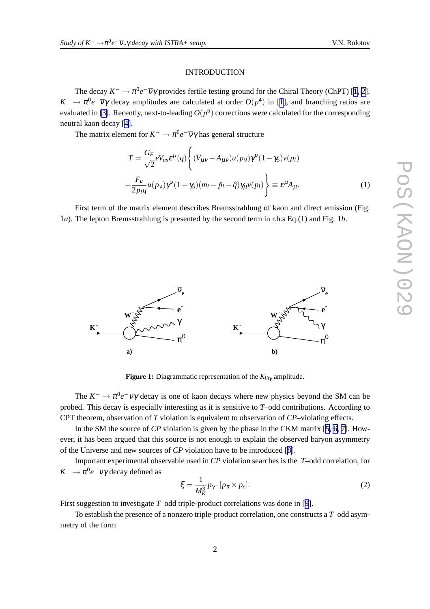#### INTRODUCTION

The decay  $K^- \to \pi^0 e^- \overline{v} \gamma$  provides fertile testing ground for the Chiral Theory (ChPT) [\[1, 2\]](#page-7-0). *K*<sup>-</sup> →  $\pi^0 e^- \overline{v} \gamma$  decay amplitudes are calculated at order  $O(p^4)$  in [[1](#page-7-0)], and branching ratios are evaluated in [\[3\]](#page-7-0). Recently, next-to-leading  $O(p^6)$  corrections were calculated for the corresponding neutral kaon decay [\[4\]](#page-7-0).

The matrix element for  $K^- \to \pi^0 e^- \overline{\nu} \gamma$  has general structure

$$
T = \frac{G_F}{\sqrt{2}} eV_{us} \varepsilon^{\mu}(q) \left\{ (V_{\mu\nu} - A_{\mu\nu}) \overline{u}(p_{\nu}) \gamma^{\nu}(1 - \gamma_5) \nu(p_l) + \frac{F_V}{2p_l q} \overline{u}(p_{\nu}) \gamma^{\nu}(1 - \gamma_5) (m_l - \hat{p}_l - \hat{q}) \gamma_{\mu} \nu(p_l) \right\} \equiv \varepsilon^{\mu} A_{\mu}.
$$
 (1)

First term of the matrix element describes Bremsstrahlung of kaon and direct emission (Fig. 1*a*). The lepton Bremsstrahlung is presented by the second term in r.h.s Eq.(1) and Fig. 1*b*.



**Figure 1:** Diagrammatic representation of the  $K_{13\gamma}$  amplitude.

The  $K^- \to \pi^0 e^- \overline{v} \gamma$  decay is one of kaon decays where new physics beyond the SM can be probed. This decay is especially interesting as it is sensitive to *T*–odd contributions. According to CPT theorem, observation of *T* violation is equivalent to observation of *CP*–violating effects.

In the SM the source of *CP* violation is given by the phase in the CKM matrix [\[5, 6, 7\]](#page-7-0). However, it has been argued that this source is not enough to explain the observed baryon asymmetry of the Universe and new sources of *CP* violation have to be introduced [[8](#page-8-0)].

Important experimental observable used in *CP* violation searches is the *T*–odd correlation, for *K*<sup>-</sup> →  $\pi^0 e^{-\overline{V}}$ γ decay defined as

$$
\xi = \frac{1}{M_K^3} p_\gamma \cdot [p_\pi \times p_e]. \tag{2}
$$

First suggestion to investigate *T*–odd triple-product correlations was done in [[9](#page-8-0)].

To establish the presence of a nonzero triple-product correlation, one constructs a *T*–odd asymmetry of the form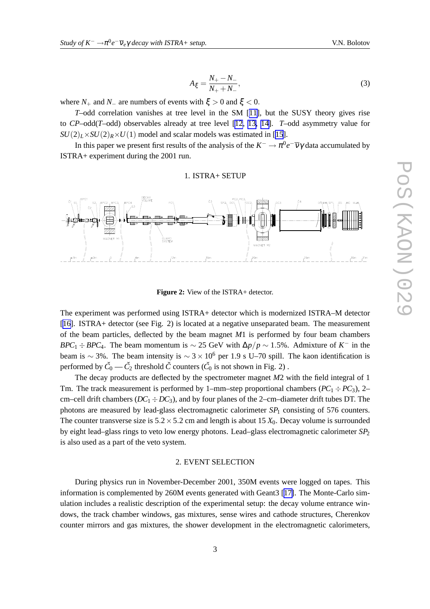$$
A_{\xi} = \frac{N_{+} - N_{-}}{N_{+} + N_{-}},\tag{3}
$$

where  $N_+$  and  $N_-$  are numbers of events with  $\xi > 0$  and  $\xi < 0$ .

*T*–odd correlation vanishes at tree level in the SM [[11\]](#page-8-0), but the SUSY theory gives rise to *CP*–odd(*T*–odd) observables already at tree level [\[12, 13, 14\]](#page-8-0). *T*–odd asymmetry value for  $SU(2)_L \times SU(2)_R \times U(1)$  model and scalar models was estimated in [\[15\]](#page-8-0).

In this paper we present first results of the analysis of the  $K^- \to \pi^0 e^- \overline{\nu} \gamma$  data accumulated by ISTRA+ experiment during the 2001 run.

1. ISTRA+ SETUP



**Figure 2:** View of the ISTRA+ detector.

The experiment was performed using ISTRA+ detector which is modernized ISTRA–M detector [[16\]](#page-8-0). ISTRA+ detector (see Fig. 2) is located at a negative unseparated beam. The measurement of the beam particles, deflected by the beam magnet *M*1 is performed by four beam chambers *BPC*<sub>1</sub> ÷ *BPC*<sub>4</sub>. The beam momentum is  $\sim$  25 GeV with  $\Delta p/p \sim 1.5\%$ . Admixture of *K*<sup>-</sup> in the beam is ∼ 3%. The beam intensity is  $\sim$  3 × 10<sup>6</sup> per 1.9 s U–70 spill. The kaon identification is performed by  $\check{C}_0$  —  $\check{C}_2$  threshold  $\check{C}$  counters ( $\check{C}_0$  is not shown in Fig. 2) .

The decay products are deflected by the spectrometer magnet *M*2 with the field integral of 1 Tm. The track measurement is performed by 1–mm–step proportional chambers ( $PC_1 \div PC_3$ ), 2– cm–cell drift chambers ( $DC_1 \div DC_3$ ), and by four planes of the 2–cm–diameter drift tubes DT. The photons are measured by lead-glass electromagnetic calorimeter *SP*<sup>1</sup> consisting of 576 counters. The counter transverse size is  $5.2 \times 5.2$  cm and length is about 15  $X_0$ . Decay volume is surrounded by eight lead–glass rings to veto low energy photons. Lead–glass electromagnetic calorimeter *SP*<sup>2</sup> is also used as a part of the veto system.

### 2. EVENT SELECTION

During physics run in November-December 2001, 350M events were logged on tapes. This information is complemented by 260M events generated with Geant3 [[17\]](#page-8-0). The Monte-Carlo simulation includes a realistic description of the experimental setup: the decay volume entrance windows, the track chamber windows, gas mixtures, sense wires and cathode structures, Cherenkov counter mirrors and gas mixtures, the shower development in the electromagnetic calorimeters,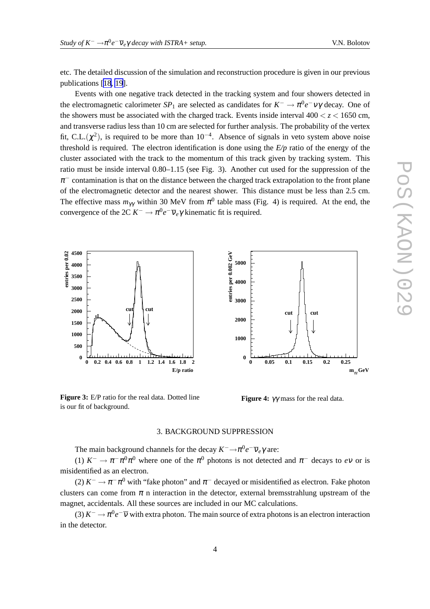etc. The detailed discussion of the simulation and reconstruction procedure is given in our previous publications [\[18, 19](#page-8-0)].

Events with one negative track detected in the tracking system and four showers detected in the electromagnetic calorimeter  $SP_1$  are selected as candidates for  $K^- \to \pi^0 e^- \nu \gamma$  decay. One of the showers must be associated with the charged track. Events inside interval  $400 < z < 1650$  cm, and transverse radius less than 10 cm are selected for further analysis. The probability of the vertex fit, C.L. $(\chi^2)$ , is required to be more than 10<sup>-4</sup>. Absence of signals in veto system above noise threshold is required. The electron identification is done using the *E/p* ratio of the energy of the cluster associated with the track to the momentum of this track given by tracking system. This ratio must be inside interval 0.80–1.15 (see Fig. 3). Another cut used for the suppression of the  $\pi^-$  contamination is that on the distance between the charged track extrapolation to the front plane of the electromagnetic detector and the nearest shower. This distance must be less than 2.5 cm. The effective mass  $m_{\gamma\gamma}$  within 30 MeV from  $\pi^0$  table mass (Fig. 4) is required. At the end, the convergence of the 2C  $K^- \to \pi^0 e^- \overline{v}_e \gamma$  kinematic fit is required.



**Figure 3:** E/P ratio for the real data. Dotted line is our fit of background.

**Figure 4:** γγ mass for the real data.

# 3. BACKGROUND SUPPRESSION

The main background channels for the decay  $K^- \rightarrow \pi^0 e^- \overline{v}_e \gamma$  are:

(1)  $K^- \to \pi^- \pi^0 \pi^0$  where one of the  $\pi^0$  photons is not detected and  $\pi^-$  decays to *ev* or is misidentified as an electron.

(2)  $K^- \to \pi^- \pi^0$  with "fake photon" and  $\pi^-$  decayed or misidentified as electron. Fake photon clusters can come from  $\pi$  n interaction in the detector, external bremsstrahlung upstream of the magnet, accidentals. All these sources are included in our MC calculations.

(3)  $K^- \to \pi^0 e^- \overline{v}$  with extra photon. The main source of extra photons is an electron interaction in the detector.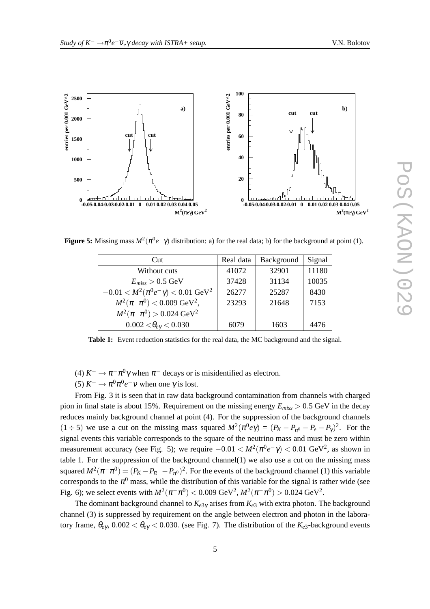

**Figure 5:** Missing mass  $M^2(\pi^0 e^{-\gamma})$  distribution: a) for the real data; b) for the background at point (1).

| Cut                                                     | Real data | Background | Signal |
|---------------------------------------------------------|-----------|------------|--------|
| Without cuts                                            | 41072     | 32901      | 11180  |
| $E_{miss} > 0.5$ GeV                                    | 37428     | 31134      | 10035  |
| $-0.01 < M^2(\pi^0 e^- \gamma) < 0.01$ GeV <sup>2</sup> | 26277     | 25287      | 8430   |
| $M^2(\pi^-\pi^0) < 0.009 \text{ GeV}^2$ ,               | 23293     | 21648      | 7153   |
| $M^2(\pi^-\pi^0) > 0.024 \text{ GeV}^2$                 |           |            |        |
| $0.002 < \theta_{e\gamma} < 0.030$                      | 6079      | 1603       | 4476   |

**Table 1:** Event reduction statistics for the real data, the MC background and the signal.

- (4)  $K^- \to \pi^- \pi^0 \gamma$  when  $\pi^-$  decays or is misidentified as electron.
- (5)  $K^- \to \pi^0 \pi^0 e^- \nu$  when one  $\gamma$  is lost.

From Fig. 3 it is seen that in raw data background contamination from channels with charged pion in final state is about 15%. Requirement on the missing energy *Emiss* > 0.5 GeV in the decay reduces mainly background channel at point (4). For the suppression of the background channels (1 ÷ 5) we use a cut on the missing mass squared  $M^2(\pi^0 e \gamma) = (P_K - P_{\pi^0} - P_e - P_{\gamma})^2$ . For the signal events this variable corresponds to the square of the neutrino mass and must be zero within measurement accuracy (see Fig. 5); we require  $-0.01 < M^2(\pi^0 e^- \gamma) < 0.01$  GeV<sup>2</sup>, as shown in table 1. For the suppression of the background channel(1) we also use a cut on the missing mass squared  $M^2(\pi^-\pi^0) = (P_K - P_{\pi^-} - P_{\pi^0})^2$ . For the events of the background channel (1) this variable corresponds to the  $\pi^0$  mass, while the distribution of this variable for the signal is rather wide (see Fig. 6); we select events with  $M^2(\pi^-\pi^0) < 0.009 \text{ GeV}^2$ ,  $M^2(\pi^-\pi^0) > 0.024 \text{ GeV}^2$ .

The dominant background channel to  $K_{e3\gamma}$  arises from  $K_{e3}$  with extra photon. The background channel (3) is suppressed by requirement on the angle between electron and photon in the laboratory frame, <sup>θ</sup>*e*<sup>γ</sup> , 0.002 < <sup>θ</sup>*e*<sup>γ</sup> < 0.030. (see Fig. 7). The distribution of the *Ke*3-background events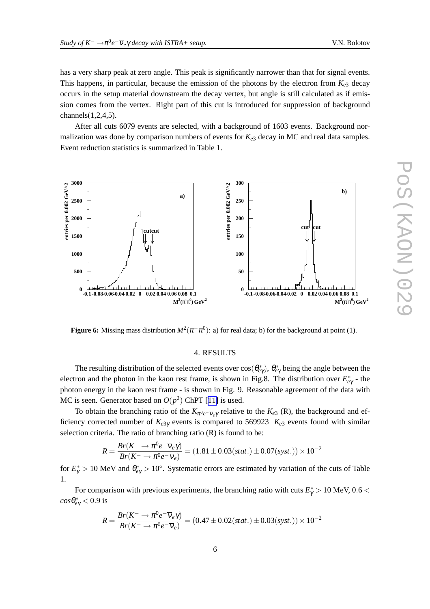has a very sharp peak at zero angle. This peak is significantly narrower than that for signal events. This happens, in particular, because the emission of the photons by the electron from  $K_{e3}$  decay occurs in the setup material downstream the decay vertex, but angle is still calculated as if emission comes from the vertex. Right part of this cut is introduced for suppression of background channels $(1,2,4,5)$ .

After all cuts 6079 events are selected, with a background of 1603 events. Background normalization was done by comparison numbers of events for  $K_{e3}$  decay in MC and real data samples. Event reduction statistics is summarized in Table 1.



**Figure 6:** Missing mass distribution  $M^2(\pi^-\pi^0)$ : a) for real data; b) for the background at point (1).

# 4. RESULTS

The resulting distribution of the selected events over  $\cos(\theta_{e\gamma}^*)$ ,  $\theta_{e\gamma}^*$  being the angle between the electron and the photon in the kaon rest frame, is shown in Fig.8. The distribution over *E* ∗ *e*γ - the photon energy in the kaon rest frame - is shown in Fig. 9. Reasonable agreement of the data with MC is seen. Generator based on  $O(p^2)$  ChPT [[11\]](#page-8-0) is used.

To obtain the branching ratio of the  $K_{\pi^0 e^- \overline{v}_e \gamma}$  relative to the  $K_{e3}$  (R), the background and efficiency corrected number of *Ke*3<sup>γ</sup> events is compared to 569923 *Ke*<sup>3</sup> events found with similar selection criteria. The ratio of branching ratio (R) is found to be:

$$
R = \frac{Br(K^- \to \pi^0 e^- \overline{v}_e \gamma)}{Br(K^- \to \pi^0 e^- \overline{v}_e)} = (1.81 \pm 0.03(stat.) \pm 0.07(syst.)) \times 10^{-2}
$$

for  $E^*_{\gamma} > 10$  MeV and  $\theta^*_{e\gamma} > 10^{\circ}$ . Systematic errors are estimated by variation of the cuts of Table 1.

For comparison with previous experiments, the branching ratio with cuts  $E^*_\gamma > 10$  MeV,  $0.6$  < *cos*θ ∗ *<sup>e</sup>*<sup>γ</sup> < 0.9 is

$$
R = \frac{Br(K^- \to \pi^0 e^- \overline{v}_e \gamma)}{Br(K^- \to \pi^0 e^- \overline{v}_e)} = (0.47 \pm 0.02(stat.) \pm 0.03(syst.)) \times 10^{-2}
$$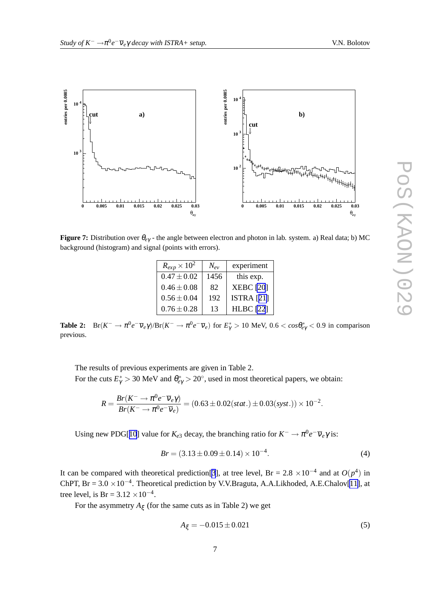

**Figure 7:** Distribution over <sup>θ</sup>*e*<sup>γ</sup> - the angle between electron and photon in lab. system. a) Real data; b) MC background (histogram) and signal (points with errors).

| $R_{exp} \times 10^2$ | $N_{\rm ev}$ | experiment        |
|-----------------------|--------------|-------------------|
| $0.47 \pm 0.02$       | 1456         | this exp.         |
| $0.46 \pm 0.08$       | 82           | <b>XEBC [20]</b>  |
| $0.56 \pm 0.04$       | 192          | <b>ISTRA [21]</b> |
| $0.76 \pm 0.28$       | 13           | <b>HLBC</b> [22]  |

**Table 2:**  $\text{Br}(K^- \to \pi^0 e^- \overline{v}_e \gamma) / \text{Br}(K^- \to \pi^0 e^- \overline{v}_e)$  for  $E^*_{\gamma} > 10$  MeV,  $0.6 < cos \theta^*_{e\gamma} < 0.9$  in comparison previous.

The results of previous experiments are given in Table 2.

For the cuts  $E^*_{\gamma} > 30$  MeV and  $\theta^*_{e\gamma} > 20^{\circ}$ , used in most theoretical papers, we obtain:

$$
R = \frac{Br(K^- \to \pi^0 e^- \overline{v}_e \gamma)}{Br(K^- \to \pi^0 e^- \overline{v}_e)} = (0.63 \pm 0.02(stat.) \pm 0.03(syst.)) \times 10^{-2}.
$$

Using new PDG[[10](#page-8-0)] value for  $K_{e3}$  decay, the branching ratio for  $K^- \to \pi^0 e^- \overline{V}_e \gamma$  is:

$$
Br = (3.13 \pm 0.09 \pm 0.14) \times 10^{-4}.
$$
 (4)

It can be compared with theoretical prediction[\[3](#page-7-0)], at tree level, Br =  $2.8 \times 10^{-4}$  and at  $O(p^4)$  in ChPT, Br =  $3.0 \times 10^{-4}$ . Theoretical prediction by V.V.Braguta, A.A.Likhoded, A.E.Chalov[\[11\]](#page-8-0), at tree level, is Br =  $3.12 \times 10^{-4}$ .

For the asymmetry  $A_{\xi}$  (for the same cuts as in Table 2) we get

$$
A_{\xi} = -0.015 \pm 0.021\tag{5}
$$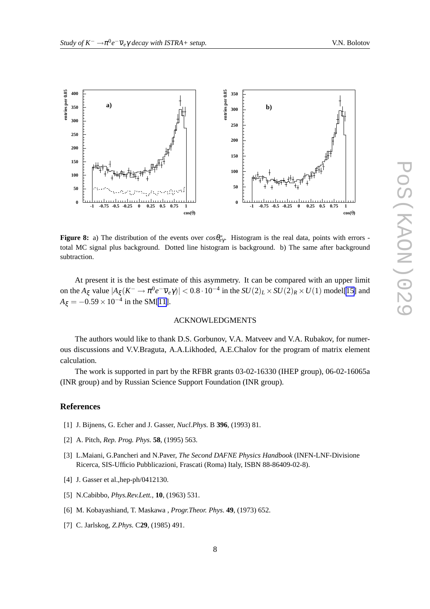<span id="page-7-0"></span>

**Figure 8:** a) The distribution of the events over  $cos\theta_{e\gamma}^*$ . Histogram is the real data, points with errors total MC signal plus background. Dotted line histogram is background. b) The same after background subtraction.

At present it is the best estimate of this asymmetry. It can be compared with an upper limit on the  $A_\xi$  value  $|A_\xi(K^- \to \pi^0 e^- \overline{v}_e \gamma)| < 0.8 \cdot 10^{-4}$  in the  $SU(2)_L \times SU(2)_R \times U(1)$  model[[15\]](#page-8-0) and  $A_{\xi} = -0.59 \times 10^{-4}$  in the SM[\[11](#page-8-0)].

## ACKNOWLEDGMENTS

The authors would like to thank D.S. Gorbunov, V.A. Matveev and V.A. Rubakov, for numerous discussions and V.V.Braguta, A.A.Likhoded, A.E.Chalov for the program of matrix element calculation.

The work is supported in part by the RFBR grants 03-02-16330 (IHEP group), 06-02-16065a (INR group) and by Russian Science Support Foundation (INR group).

# **References**

- [1] J. Bijnens, G. Echer and J. Gasser, *Nucl.Phys.* B **396**, (1993) 81.
- [2] A. Pitch, *Rep. Prog. Phys.* **58**, (1995) 563.
- [3] L.Maiani, G.Pancheri and N.Paver, *The Second DAFNE Physics Handbook* (INFN-LNF-Divisione Ricerca, SIS-Ufficio Pubblicazioni, Frascati (Roma) Italy, ISBN 88-86409-02-8).
- [4] J. Gasser et al., hep-ph/0412130.
- [5] N.Cabibbo, *Phys.Rev.Lett.*, **10**, (1963) 531.
- [6] M. Kobayashiand, T. Maskawa , *Progr.Theor. Phys.* **49**, (1973) 652.
- [7] C. Jarlskog, *Z.Phys.* C**29**, (1985) 491.